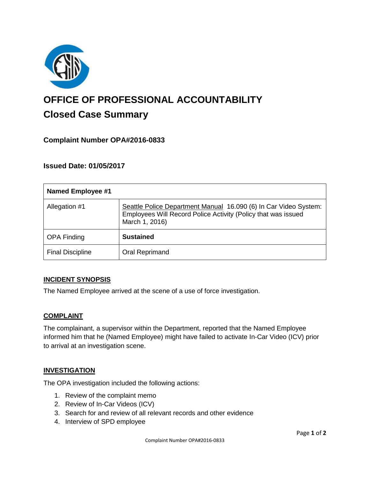

# **OFFICE OF PROFESSIONAL ACCOUNTABILITY Closed Case Summary**

## **Complaint Number OPA#2016-0833**

## **Issued Date: 01/05/2017**

| <b>Named Employee #1</b> |                                                                                                                                                     |
|--------------------------|-----------------------------------------------------------------------------------------------------------------------------------------------------|
| Allegation #1            | Seattle Police Department Manual 16.090 (6) In Car Video System:<br>Employees Will Record Police Activity (Policy that was issued<br>March 1, 2016) |
| <b>OPA Finding</b>       | <b>Sustained</b>                                                                                                                                    |
| <b>Final Discipline</b>  | Oral Reprimand                                                                                                                                      |

#### **INCIDENT SYNOPSIS**

The Named Employee arrived at the scene of a use of force investigation.

#### **COMPLAINT**

The complainant, a supervisor within the Department, reported that the Named Employee informed him that he (Named Employee) might have failed to activate In-Car Video (ICV) prior to arrival at an investigation scene.

#### **INVESTIGATION**

The OPA investigation included the following actions:

- 1. Review of the complaint memo
- 2. Review of In-Car Videos (ICV)
- 3. Search for and review of all relevant records and other evidence
- 4. Interview of SPD employee